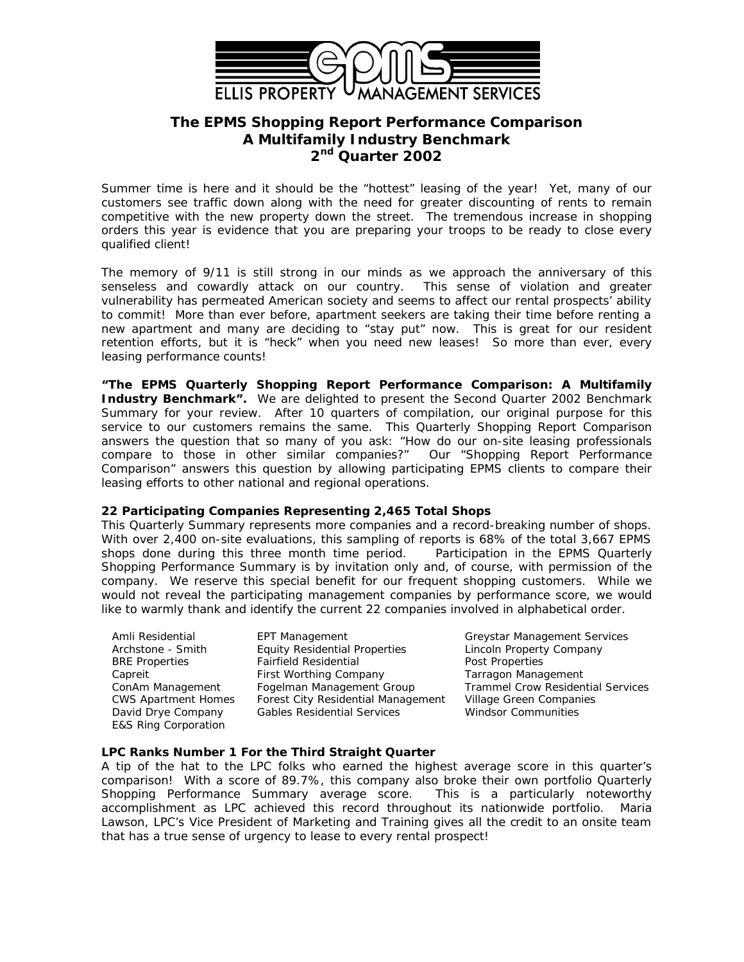

# **The EPMS** *Shopping Report Performance Comparison* **A Multifamily Industry Benchmark 2 nd Quarter 2002**

Summer time is here and it should be the "hottest" leasing of the year! Yet, many of our customers see traffic down along with the need for greater discounting of rents to remain competitive with the new property down the street. The tremendous increase in shopping orders this year is evidence that you are preparing your troops to be ready to close every qualified client!

The memory of 9/11 is still strong in our minds as we approach the anniversary of this senseless and cowardly attack on our country. This sense of violation and greater vulnerability has permeated American society and seems to affect our rental prospects' ability to commit! More than ever before, apartment seekers are taking their time before renting a new apartment and many are deciding to "stay put" now. This is great for our resident retention efforts, but it is "heck" when you need new leases! So more than ever, every leasing performance counts!

**"The** *EPMS Quarterly Shopping Report Performance Comparison:* **A Multifamily Industry Benchmark".** We are delighted to present the Second Quarter 2002 Benchmark Summary for your review. After 10 quarters of compilation, our original purpose for this service to our customers remains the same. This Quarterly Shopping Report Comparison answers the question that so many of you ask: "*How do our on-site leasing professionals compare to those in other similar companies?"* Our "*Shopping Report Performance Comparison*" answers this question by allowing participating EPMS clients to compare their leasing efforts to other national and regional operations.

## **22 Participating Companies Representing 2,465 Total Shops**

This Quarterly Summary represents more companies and a record-breaking number of shops. With over 2,400 on-site evaluations, this sampling of reports is 68% of the total 3,667 EPMS shops done during this three month time period. Participation in the EPMS *Quarterly Shopping Performance Summary* is by invitation only and, of course, with permission of the company. We reserve this special benefit for our frequent shopping customers. While we would not reveal the participating management companies by performance score, we would like to warmly thank and identify the current 22 companies involved in alphabetical order.

E&S Ring Corporation

Amli Residential EPT Management Greystar Management Services Archstone - Smith Equity Residential Properties Lincoln Property Company<br>
BRE Properties Fairfield Residential Properties Post Properties Fairfield Residential Post Properties Capreit First Worthing Company Tarragon Management CWS Apartment Homes Forest City Residential Management Village Green Companies David Drye Company Gables Residential Services Windsor Communities

ConAm Management Fogelman Management Group Trammel Crow Residential Services

## **LPC Ranks Number 1 For the Third Straight Quarter**

A tip of the hat to the LPC folks who earned the highest average score in this quarter's comparison! With a score of 89.7%, this company also broke their own portfolio Quarterly Shopping Performance Summary average score. This is a particularly noteworthy accomplishment as LPC achieved this record throughout its nationwide portfolio. Maria Lawson, LPC's Vice President of Marketing and Training gives all the credit to an onsite team that has a true sense of urgency to lease to every rental prospect!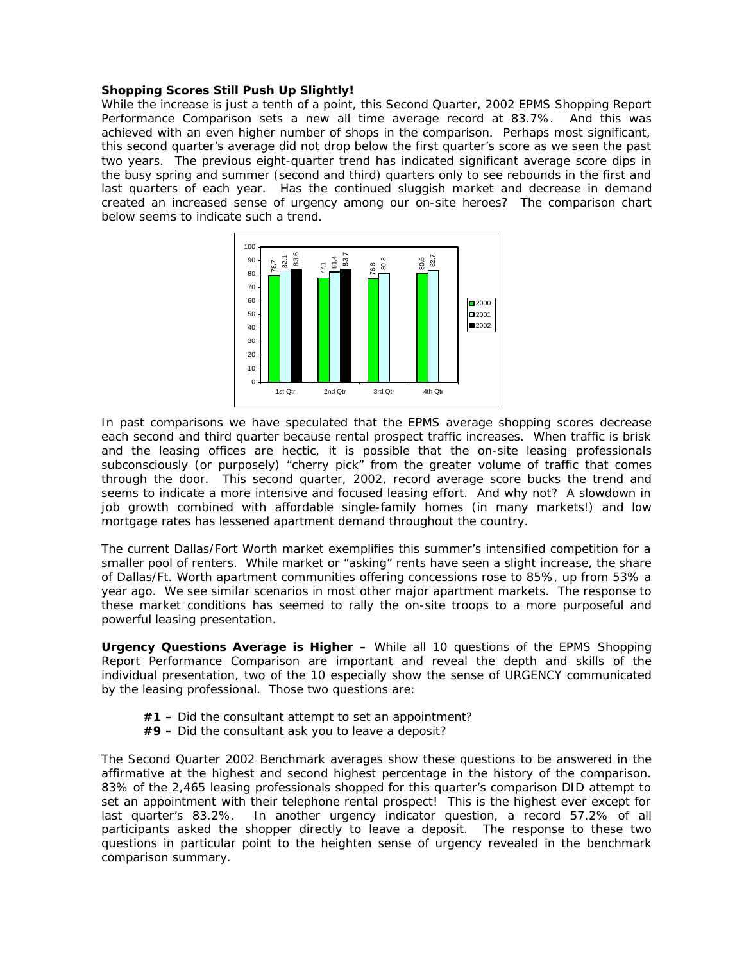#### **Shopping Scores Still Push Up Slightly!**

While the increase is just a tenth of a point, this Second Quarter, 2002 EPMS *Shopping Report Performance Comparison* sets a new all time average record at 83.7%. And this was achieved with an even higher number of shops in the comparison. Perhaps most significant, this second quarter's average did not drop below the first quarter's score as we seen the past two years. The previous eight-quarter trend has indicated significant average score dips in the busy spring and summer (second and third) quarters only to see rebounds in the first and last quarters of each year. Has the continued sluggish market and decrease in demand created an increased sense of urgency among our on-site heroes? The comparison chart below seems to indicate such a trend.



In past comparisons we have speculated that the EPMS average shopping scores decrease each second and third quarter because rental prospect traffic increases. When traffic is brisk and the leasing offices are hectic, it is possible that the on-site leasing professionals subconsciously (or purposely) "cherry pick" from the greater volume of traffic that comes through the door. This second quarter, 2002, record average score bucks the trend and seems to indicate a more intensive and focused leasing effort. And why not? A slowdown in job growth combined with affordable single-family homes (in many markets!) and low mortgage rates has lessened apartment demand throughout the country.

The current Dallas/Fort Worth market exemplifies this summer's intensified competition for a smaller pool of renters. While market or "asking" rents have seen a slight increase, the share of Dallas/Ft. Worth apartment communities offering concessions rose to 85%, up from 53% a year ago. We see similar scenarios in most other major apartment markets. The response to these market conditions has seemed to rally the on-site troops to a more purposeful and powerful leasing presentation.

**Urgency Questions Average is Higher –** While all 10 questions of the EPMS *Shopping Report Performance Comparison* are important and reveal the depth and skills of the individual presentation, two of the 10 especially show the sense of URGENCY communicated by the leasing professional. Those two questions are:

- **#1 –** Did the consultant attempt to set an appointment?
- **#9 –** Did the consultant ask you to leave a deposit?

The Second Quarter 2002 Benchmark averages show these questions to be answered in the affirmative at the highest and second highest percentage in the history of the comparison. 83% of the 2,465 leasing professionals shopped for this quarter's comparison DID attempt to set an appointment with their telephone rental prospect! This is the highest ever except for last quarter's 83.2%. In another urgency indicator question, a record 57.2% of all participants asked the shopper directly to leave a deposit. The response to these two questions in particular point to the heighten sense of urgency revealed in the benchmark comparison summary.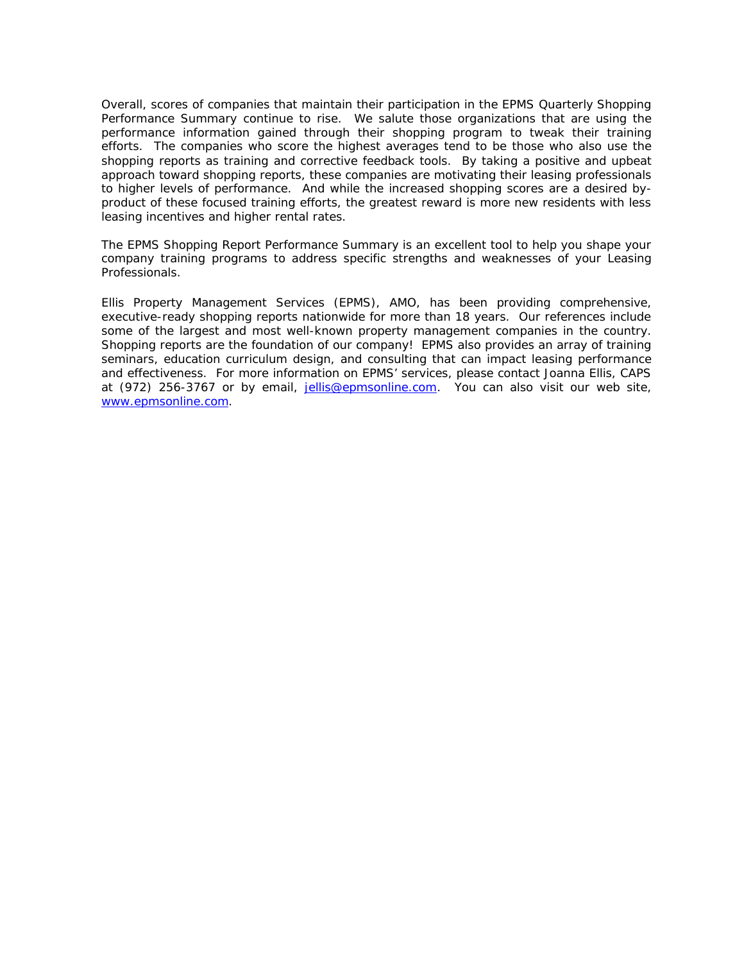Overall, scores of companies that maintain their participation in the EPMS *Quarterly Shopping Performance Summary* continue to rise. We salute those organizations that are using the performance information gained through their shopping program to tweak their training efforts. The companies who score the highest averages tend to be those who also use the shopping reports as training and corrective feedback tools. By taking a positive and upbeat approach toward shopping reports, these companies are motivating their leasing professionals to higher levels of performance. And while the increased shopping scores are a desired byproduct of these focused training efforts, the greatest reward is more new residents with less leasing incentives and higher rental rates.

The *EPMS Shopping Report Performance Summary* is an excellent tool to help you shape your company training programs to address specific strengths and weaknesses of your Leasing Professionals.

Ellis Property Management Services (EPMS), AMO, has been providing comprehensive, executive-ready shopping reports nationwide for more than 18 years. Our references include some of the largest and most well-known property management companies in the country. Shopping reports are the foundation of our company! EPMS also provides an array of training seminars, education curriculum design, and consulting that can impact leasing performance and effectiveness. For more information on EPMS' services, please contact Joanna Ellis, CAPS at (972) 256-3767 or by email, jellis@epmsonline.com. You can also visit our web site, www.epmsonline.com.